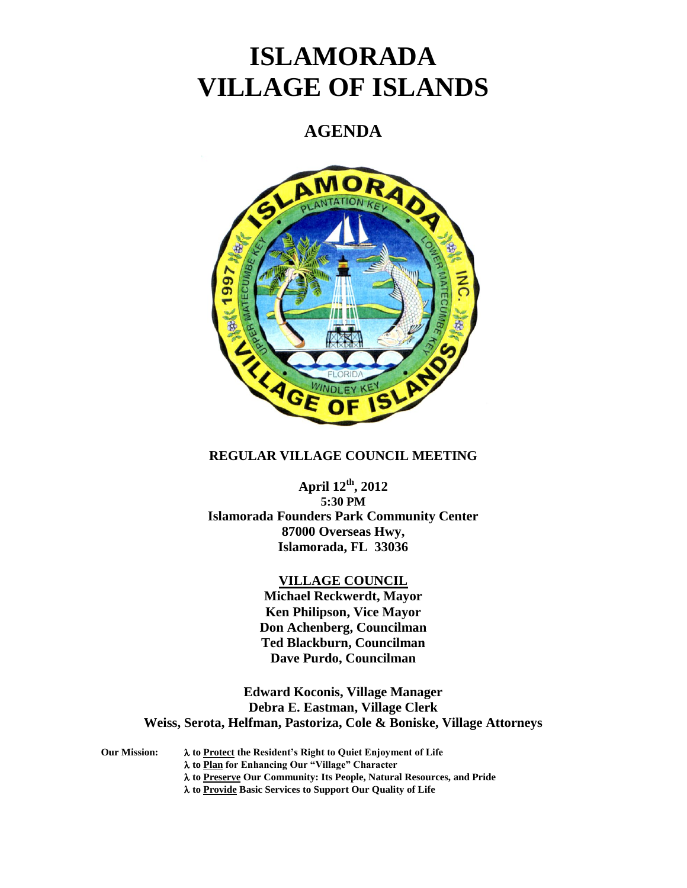# **ISLAMORADA VILLAGE OF ISLANDS**

## **AGENDA**



### **REGULAR VILLAGE COUNCIL MEETING**

**April 12th , 2012 5:30 PM Islamorada Founders Park Community Center 87000 Overseas Hwy, Islamorada, FL 33036**

#### **VILLAGE COUNCIL**

**Michael Reckwerdt, Mayor Ken Philipson, Vice Mayor Don Achenberg, Councilman Ted Blackburn, Councilman Dave Purdo, Councilman**

**Edward Koconis, Village Manager Debra E. Eastman, Village Clerk Weiss, Serota, Helfman, Pastoriza, Cole & Boniske, Village Attorneys**

**Our Mission: to Protect the Resident's Right to Quiet Enjoyment of Life**

**to Plan for Enhancing Our "Village" Character**

**to Preserve Our Community: Its People, Natural Resources, and Pride**

**to Provide Basic Services to Support Our Quality of Life**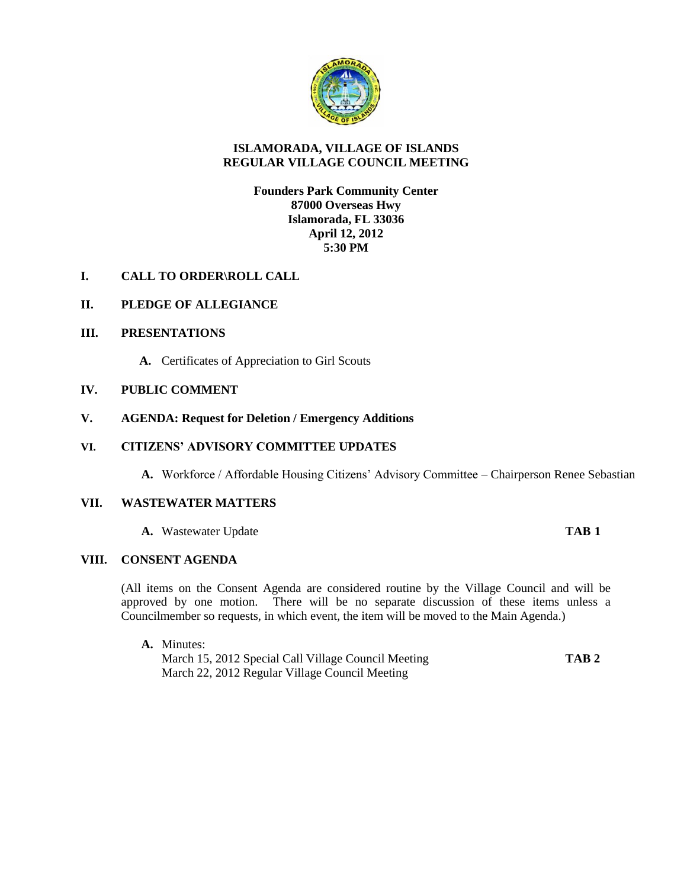

#### **ISLAMORADA, VILLAGE OF ISLANDS REGULAR VILLAGE COUNCIL MEETING**

#### **Founders Park Community Center 87000 Overseas Hwy Islamorada, FL 33036 April 12, 2012 5:30 PM**

#### **I. CALL TO ORDER\ROLL CALL**

#### **II. PLEDGE OF ALLEGIANCE**

#### **III. PRESENTATIONS**

**A.** Certificates of Appreciation to Girl Scouts

#### **IV. PUBLIC COMMENT**

#### **V. AGENDA: Request for Deletion / Emergency Additions**

#### **VI. CITIZENS' ADVISORY COMMITTEE UPDATES**

**A.** Workforce / Affordable Housing Citizens' Advisory Committee – Chairperson Renee Sebastian

#### **VII. WASTEWATER MATTERS**

**A.** Wastewater Update **TAB 1**

#### **VIII. CONSENT AGENDA**

(All items on the Consent Agenda are considered routine by the Village Council and will be approved by one motion. There will be no separate discussion of these items unless a Councilmember so requests, in which event, the item will be moved to the Main Agenda.)

**A.** Minutes: March 15, 2012 Special Call Village Council Meeting **TAB 2** March 22, 2012 Regular Village Council Meeting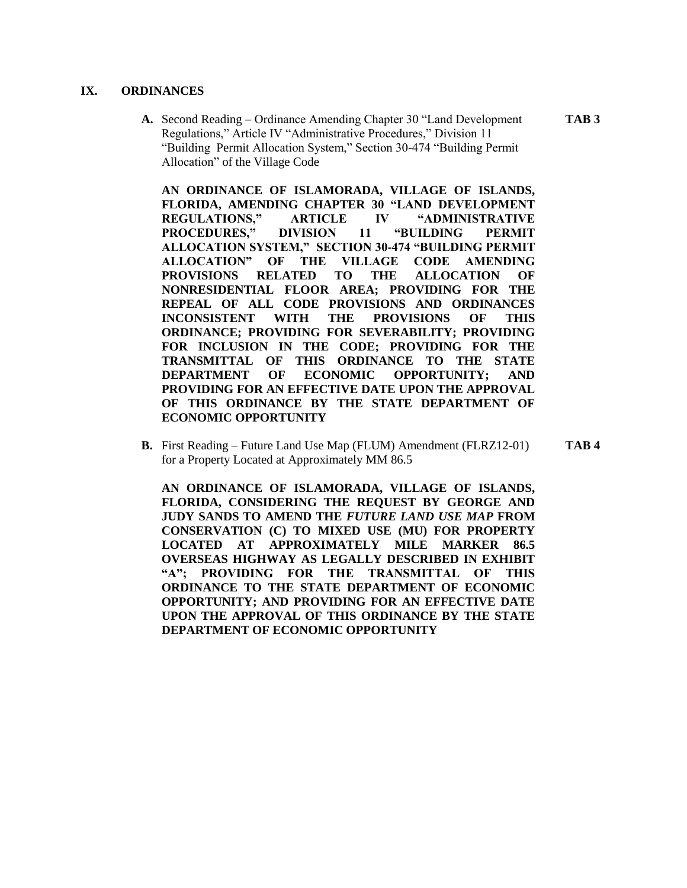#### **IX. ORDINANCES**

**A.** Second Reading – Ordinance Amending Chapter 30 "Land Development **TAB 3** Regulations," Article IV "Administrative Procedures," Division 11 "Building Permit Allocation System," Section 30-474 "Building Permit Allocation" of the Village Code

**AN ORDINANCE OF ISLAMORADA, VILLAGE OF ISLANDS, FLORIDA, AMENDING CHAPTER 30 "LAND DEVELOPMENT REGULATIONS," ARTICLE IV "ADMINISTRATIVE PROCEDURES," DIVISION 11 "BUILDING PERMIT ALLOCATION SYSTEM," SECTION 30-474 "BUILDING PERMIT ALLOCATION" OF THE VILLAGE CODE AMENDING PROVISIONS RELATED TO THE ALLOCATION OF NONRESIDENTIAL FLOOR AREA; PROVIDING FOR THE REPEAL OF ALL CODE PROVISIONS AND ORDINANCES INCONSISTENT WITH THE PROVISIONS OF THIS ORDINANCE; PROVIDING FOR SEVERABILITY; PROVIDING FOR INCLUSION IN THE CODE; PROVIDING FOR THE TRANSMITTAL OF THIS ORDINANCE TO THE STATE DEPARTMENT OF ECONOMIC OPPORTUNITY; AND PROVIDING FOR AN EFFECTIVE DATE UPON THE APPROVAL OF THIS ORDINANCE BY THE STATE DEPARTMENT OF ECONOMIC OPPORTUNITY**

**B.** First Reading – Future Land Use Map (FLUM) Amendment (FLRZ12-01) **TAB 4** for a Property Located at Approximately MM 86.5

**AN ORDINANCE OF ISLAMORADA, VILLAGE OF ISLANDS, FLORIDA, CONSIDERING THE REQUEST BY GEORGE AND JUDY SANDS TO AMEND THE** *FUTURE LAND USE MAP* **FROM CONSERVATION (C) TO MIXED USE (MU) FOR PROPERTY LOCATED AT APPROXIMATELY MILE MARKER 86.5 OVERSEAS HIGHWAY AS LEGALLY DESCRIBED IN EXHIBIT "A"; PROVIDING FOR THE TRANSMITTAL OF THIS ORDINANCE TO THE STATE DEPARTMENT OF ECONOMIC OPPORTUNITY; AND PROVIDING FOR AN EFFECTIVE DATE UPON THE APPROVAL OF THIS ORDINANCE BY THE STATE DEPARTMENT OF ECONOMIC OPPORTUNITY**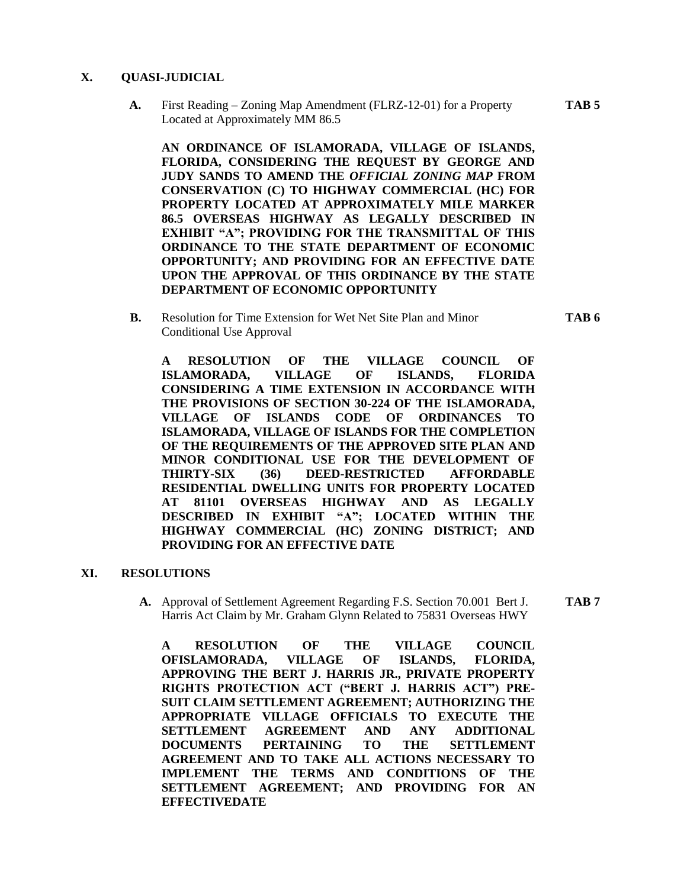#### **X. QUASI-JUDICIAL**

**A.** First Reading – Zoning Map Amendment (FLRZ-12-01) for a Property **TAB 5** Located at Approximately MM 86.5

**AN ORDINANCE OF ISLAMORADA, VILLAGE OF ISLANDS, FLORIDA, CONSIDERING THE REQUEST BY GEORGE AND JUDY SANDS TO AMEND THE** *OFFICIAL ZONING MAP* **FROM CONSERVATION (C) TO HIGHWAY COMMERCIAL (HC) FOR PROPERTY LOCATED AT APPROXIMATELY MILE MARKER 86.5 OVERSEAS HIGHWAY AS LEGALLY DESCRIBED IN EXHIBIT "A"; PROVIDING FOR THE TRANSMITTAL OF THIS ORDINANCE TO THE STATE DEPARTMENT OF ECONOMIC OPPORTUNITY; AND PROVIDING FOR AN EFFECTIVE DATE UPON THE APPROVAL OF THIS ORDINANCE BY THE STATE DEPARTMENT OF ECONOMIC OPPORTUNITY**

**B.** Resolution for Time Extension for Wet Net Site Plan and Minor **TAB 6** Conditional Use Approval

**A RESOLUTION OF THE VILLAGE COUNCIL OF ISLAMORADA, VILLAGE OF ISLANDS, FLORIDA CONSIDERING A TIME EXTENSION IN ACCORDANCE WITH THE PROVISIONS OF SECTION 30-224 OF THE ISLAMORADA, VILLAGE OF ISLANDS CODE OF ORDINANCES TO ISLAMORADA, VILLAGE OF ISLANDS FOR THE COMPLETION OF THE REQUIREMENTS OF THE APPROVED SITE PLAN AND MINOR CONDITIONAL USE FOR THE DEVELOPMENT OF THIRTY-SIX (36) DEED-RESTRICTED AFFORDABLE RESIDENTIAL DWELLING UNITS FOR PROPERTY LOCATED AT 81101 OVERSEAS HIGHWAY AND AS LEGALLY DESCRIBED IN EXHIBIT "A"; LOCATED WITHIN THE HIGHWAY COMMERCIAL (HC) ZONING DISTRICT; AND PROVIDING FOR AN EFFECTIVE DATE**

#### **XI. RESOLUTIONS**

**A.** Approval of Settlement Agreement Regarding F.S. Section 70.001 Bert J. **TAB 7** Harris Act Claim by Mr. Graham Glynn Related to 75831 Overseas HWY

**A RESOLUTION OF THE VILLAGE COUNCIL OFISLAMORADA, VILLAGE OF ISLANDS, FLORIDA, APPROVING THE BERT J. HARRIS JR., PRIVATE PROPERTY RIGHTS PROTECTION ACT ("BERT J. HARRIS ACT") PRE-SUIT CLAIM SETTLEMENT AGREEMENT; AUTHORIZING THE APPROPRIATE VILLAGE OFFICIALS TO EXECUTE THE SETTLEMENT AGREEMENT AND ANY ADDITIONAL DOCUMENTS PERTAINING TO THE SETTLEMENT AGREEMENT AND TO TAKE ALL ACTIONS NECESSARY TO IMPLEMENT THE TERMS AND CONDITIONS OF THE SETTLEMENT AGREEMENT; AND PROVIDING FOR AN EFFECTIVEDATE**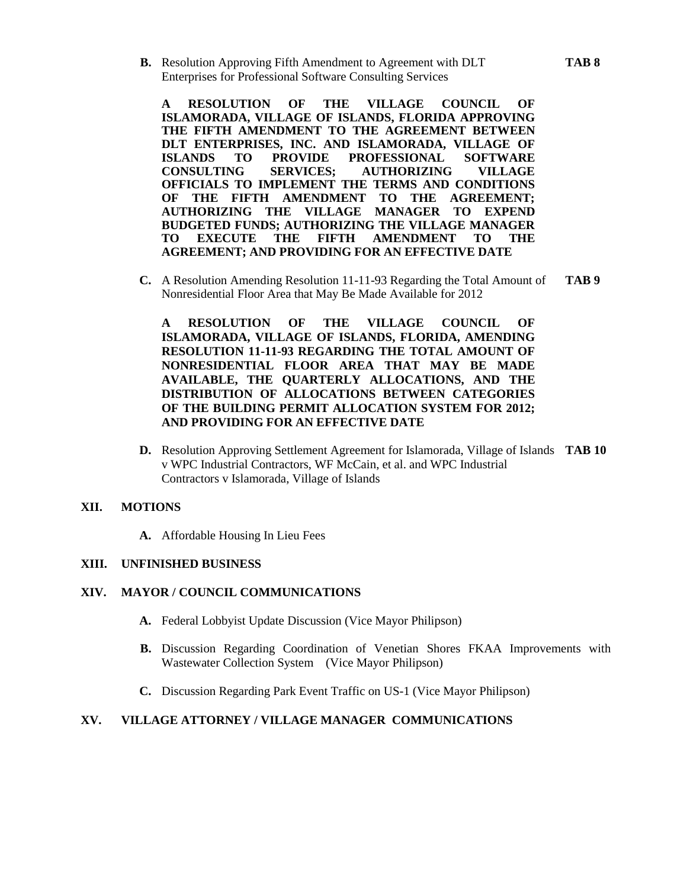**B.** Resolution Approving Fifth Amendment to Agreement with DLT **TAB 8** Enterprises for Professional Software Consulting Services

**A RESOLUTION OF THE VILLAGE COUNCIL OF ISLAMORADA, VILLAGE OF ISLANDS, FLORIDA APPROVING THE FIFTH AMENDMENT TO THE AGREEMENT BETWEEN DLT ENTERPRISES, INC. AND ISLAMORADA, VILLAGE OF ISLANDS TO PROVIDE PROFESSIONAL SOFTWARE CONSULTING SERVICES; AUTHORIZING VILLAGE OFFICIALS TO IMPLEMENT THE TERMS AND CONDITIONS OF THE FIFTH AMENDMENT TO THE AGREEMENT; AUTHORIZING THE VILLAGE MANAGER TO EXPEND BUDGETED FUNDS; AUTHORIZING THE VILLAGE MANAGER TO EXECUTE THE FIFTH AMENDMENT TO THE AGREEMENT; AND PROVIDING FOR AN EFFECTIVE DATE**

**C.** A Resolution Amending Resolution 11-11-93 Regarding the Total Amount of **TAB 9** Nonresidential Floor Area that May Be Made Available for 2012

**A RESOLUTION OF THE VILLAGE COUNCIL OF ISLAMORADA, VILLAGE OF ISLANDS, FLORIDA, AMENDING RESOLUTION 11-11-93 REGARDING THE TOTAL AMOUNT OF NONRESIDENTIAL FLOOR AREA THAT MAY BE MADE AVAILABLE, THE QUARTERLY ALLOCATIONS, AND THE DISTRIBUTION OF ALLOCATIONS BETWEEN CATEGORIES OF THE BUILDING PERMIT ALLOCATION SYSTEM FOR 2012; AND PROVIDING FOR AN EFFECTIVE DATE**

**D.** Resolution Approving Settlement Agreement for Islamorada, Village of Islands **TAB 10** v WPC Industrial Contractors, WF McCain, et al. and WPC Industrial Contractors v Islamorada, Village of Islands

#### **XII. MOTIONS**

**A.** Affordable Housing In Lieu Fees

#### **XIII. UNFINISHED BUSINESS**

#### **XIV. MAYOR / COUNCIL COMMUNICATIONS**

- **A.** Federal Lobbyist Update Discussion (Vice Mayor Philipson)
- **B.** Discussion Regarding Coordination of Venetian Shores FKAA Improvements with Wastewater Collection System (Vice Mayor Philipson)
- **C.** Discussion Regarding Park Event Traffic on US-1 (Vice Mayor Philipson)

#### **XV. VILLAGE ATTORNEY / VILLAGE MANAGER COMMUNICATIONS**